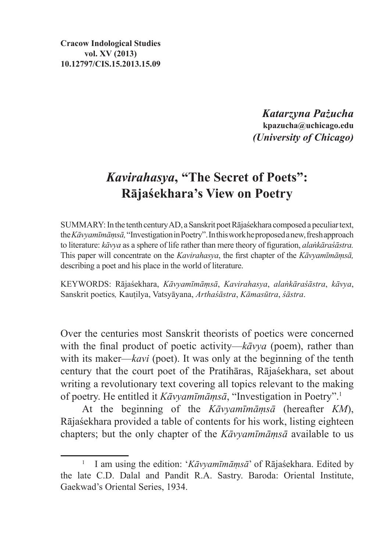**Cracow Indological Studies vol. XV (2013) 10.12797/CIS.15.2013.15.09**

> *Katarzyna Pażucha* **kpazucha@uchicago.edu** *(University of Chicago)*

## *Kavirahasya***, "The Secret of Poets": Rājaśekhara's View on Poetry**

SUMMARY:In the tenth century AD, aSanskrit poet Rājaśekhara composed apeculiar text, the*Kāvyamīmāṃsā,* "Investigation in Poetry". In this work he proposed anew, fresh approach to literature: *kāvya* as a sphere of life rather than mere theory of figuration, *alaṅkāraśāstra.* This paper will concentrate on the *Kavirahasya*, the first chapter of the *Kāvyamīmāṃsā,*  describing a poet and his place in the world of literature.

KEYWORDS: Rājaśekhara, *Kāvyamīmāṃsā*, *Kavirahasya*, *alaṅkāraśāstra*, *kāvya*, Sanskrit poetics*,* Kauṭilya, Vatsyāyana, *Arthaśāstra*, *Kāmasūtra*, *śāstra*.

Over the centuries most Sanskrit theorists of poetics were concerned with the final product of poetic activity—*kāvya* (poem), rather than with its maker—*kavi* (poet). It was only at the beginning of the tenth century that the court poet of the Pratihāras, Rājaśekhara, set about writing a revolutionary text covering all topics relevant to the making of poetry. He entitled it *Kāvyamīmāṃsā*, "Investigation in Poetry".<sup>1</sup>

At the beginning of the *Kāvyamīmāṃsā* (hereafter *KM*), Rājaśekhara provided a table of contents for his work, listing eighteen chapters; but the only chapter of the *Kāvyamīmāṃsā* available to us

<sup>1</sup> I am using the edition: '*Kāvyamīmāṃsā*' of Rājaśekhara. Edited by the late C.D. Dalal and Pandit R.A. Sastry. Baroda: Oriental Institute, Gaekwad's Oriental Series, 1934.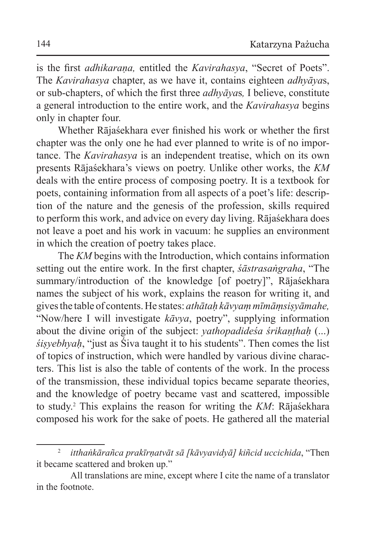is the first *adhikarana*, entitled the *Kavirahasya*, "Secret of Poets". The *Kavirahasya* chapter, as we have it, contains eighteen *adhyāya*s, or sub-chapters, of which the first three *adhyāya*s*,* I believe, constitute a general introduction to the entire work, and the *Kavirahasya* begins only in chapter four.

Whether Rājaśekhara ever finished his work or whether the first chapter was the only one he had ever planned to write is of no importance. The *Kavirahasya* is an independent treatise, which on its own presents Rājaśekhara's views on poetry. Unlike other works, the *KM*  deals with the entire process of composing poetry. It is a textbook for poets, containing information from all aspects of a poet's life: description of the nature and the genesis of the profession, skills required to perform this work, and advice on every day living. Rājaśekhara does not leave a poet and his work in vacuum: he supplies an environment in which the creation of poetry takes place.

The *KM* begins with the Introduction, which contains information setting out the entire work. In the first chapter, *śāstrasaṅgraha*, "The summary/introduction of the knowledge [of poetry]", Rājaśekhara names the subject of his work, explains the reason for writing it, and gives the table of contents. He states: *athātaḥ kāvyaṃ mīmāṃsiṣyāmahe,* "Now/here I will investigate *kāvya*, poetry", supplying information about the divine origin of the subject: *vathopadidesa śrikanthah* (...) *śiṣyebhyaḥ*, "just as Śiva taught it to his students". Then comes the list of topics of instruction, which were handled by various divine characters. This list is also the table of contents of the work. In the process of the transmission, these individual topics became separate theories, and the knowledge of poetry became vast and scattered, impossible to study.<sup>2</sup> This explains the reason for writing the *KM*: Rājaśekhara composed his work for the sake of poets. He gathered all the material

<sup>2</sup> *itthaṅkārañca prakīrṇatvāt sā [kāvyavidyā] kiñcid uccichida*, "Then it became scattered and broken up."

All translations are mine, except where I cite the name of a translator in the footnote.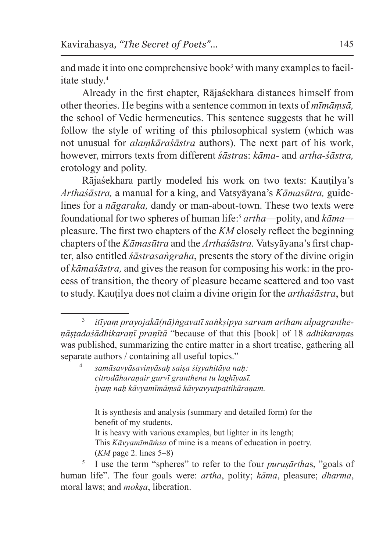and made it into one comprehensive book<sup>3</sup> with many examples to facilitate study<sup>4</sup>

Already in the first chapter, Rājaśekhara distances himself from other theories. He begins with a sentence common in texts of *mīmāṃsā,* the school of Vedic hermeneutics. This sentence suggests that he will follow the style of writing of this philosophical system (which was not unusual for *alaṃkāraśāstra* authors). The next part of his work, however, mirrors texts from different *śāstra*s: *kāma-* and *artha-śāstra,* erotology and polity.

Rājaśekhara partly modeled his work on two texts: Kauṭilya's *Arthaśāstra,* a manual for a king, and Vatsyāyana's *Kāmasūtra,* guidelines for a *nāgaraka,* dandy or man-about-town. These two texts were foundational for two spheres of human life:<sup>5</sup> *artha*—polity, and *kāma* pleasure. The first two chapters of the *KM* closely reflect the beginning chapters of the *Kāmasūtra* and the *Arthaśāstra.* Vatsyāyana's first chapter, also entitled *śāstrasaṅgraha*, presents the story of the divine origin of *kāmaśāstra,* and gives the reason for composing his work: in the process of transition, the theory of pleasure became scattered and too vast to study. Kauṭilya does not claim a divine origin for the *arthaśāstra*, but

It is synthesis and analysis (summary and detailed form) for the benefit of my students. It is heavy with various examples, but lighter in its length; This *Kāvyamīmāṁsa* of mine is a means of education in poetry. (*KM* page 2. lines 5–8)

<sup>5</sup> I use the term "spheres" to refer to the four *puruṣārtha*s, "goals of human life". The four goals were: *artha*, polity; *kāma*, pleasure; *dharma*, moral laws; and *mokṣa*, liberation.

<sup>3</sup> *itīyaṃ prayojakā(nā)ṅgavatī saṅkṣipya sarvam artham alpagrantheṇāṣṭadaśādhikaraṇī praṇītā* "because of that this [book] of 18 *adhikaraṇa*s was published, summarizing the entire matter in a short treatise, gathering all separate authors / containing all useful topics."

<sup>4</sup> *samāsavyāsavinyāsaḥ saiṣa śiṣyahitāya naḥ: citrodāharaṇair gurvī granthena tu laghīyasī. iyaṃ naḥ kāvyamīmāṃsā kāvyavyutpattikāraṇam.*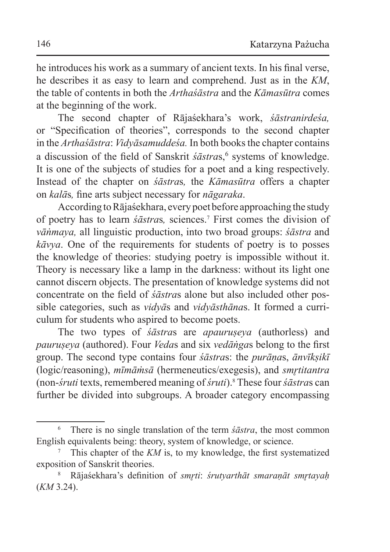he introduces his work as a summary of ancient texts. In his final verse, he describes it as easy to learn and comprehend. Just as in the *KM*, the table of contents in both the *Arthaśāstra* and the *Kāmasūtra* comes at the beginning of the work.

The second chapter of Rājaśekhara's work, *śāstranirdeśa,*  or "Specification of theories", corresponds to the second chapter in the *Arthaśāstra*: *Vidyāsamuddeśa.* In both books the chapter contains a discussion of the field of Sanskrit *śāstra*s,<sup>6</sup> systems of knowledge. It is one of the subjects of studies for a poet and a king respectively. Instead of the chapter on *śāstra*s*,* the *Kāmasūtra* offers a chapter on *kalā*s*,* fine arts subject necessary for *nāgaraka*.

According to Rājaśekhara, every poet before approaching the study of poetry has to learn *śāstra*s*,* sciences.<sup>7</sup> First comes the division of *vāṅmaya,* all linguistic production, into two broad groups: *śāstra* and *kāvya*. One of the requirements for students of poetry is to posses the knowledge of theories: studying poetry is impossible without it. Theory is necessary like a lamp in the darkness: without its light one cannot discern objects. The presentation of knowledge systems did not concentrate on the field of *śāstra*s alone but also included other possible categories, such as *vidyā*s and *vidyāsthāna*s. It formed a curriculum for students who aspired to become poets.

The two types of *śāstra*s are *apauruṣeya* (authorless) and *pauruṣeya* (authored). Four *Veda*s and six *vedāṅga*s belong to the first group. The second type contains four *śāstra*s: the *purāṇa*s, *ānvīkṣikī*  (logic/reasoning), *mīmāṁsā* (hermeneutics/exegesis), and *smr̥titantra*  (non-*śruti* texts, remembered meaning of *śruti*).<sup>8</sup> These four *śāstra*s can further be divided into subgroups. A broader category encompassing

<sup>6</sup> There is no single translation of the term *śāstra*, the most common English equivalents being: theory, system of knowledge, or science.

<sup>7</sup> This chapter of the *KM* is, to my knowledge, the first systematized exposition of Sanskrit theories.

<sup>8</sup> Rājaśekhara's definition of *smr̥ti*: *śrutyarthāt smaraṇāt smr̥tayaḥ*  (*KM* 3.24).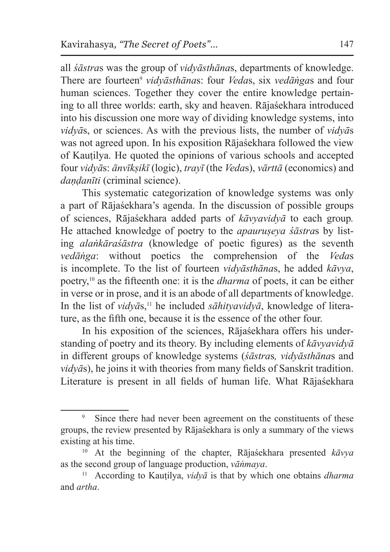all *śāstra*s was the group of *vidyāsthāna*s, departments of knowledge. There are fourteen<sup>9</sup> *vidvāsthānas*: four *Vedas*, six *vedāṅgas* and four human sciences. Together they cover the entire knowledge pertaining to all three worlds: earth, sky and heaven. Rājaśekhara introduced into his discussion one more way of dividing knowledge systems, into *vidyā*s, or sciences. As with the previous lists, the number of *vidyā*s was not agreed upon. In his exposition Rājašekhara followed the view of Kauṭilya. He quoted the opinions of various schools and accepted four *vidyā*s: *ānvīkṣikī* (logic), *trayī* (the *Veda*s), *vārttā* (economics) and *daṇḍanīti* (criminal science).

This systematic categorization of knowledge systems was only a part of Rājaśekhara's agenda. In the discussion of possible groups of sciences, Rājaśekhara added parts of *kāvyavidyā* to each group*.* He attached knowledge of poetry to the *apauruṣeya śāstra*s by listing *alaṅkāraśāstra* (knowledge of poetic figures) as the seventh *vedāṅga*: without poetics the comprehension of the *Veda*s is incomplete. To the list of fourteen *vidyāsthāna*s, he added *kāvya*, poetry,10 as the fifteenth one: it is the *dharma* of poets, it can be either in verse or in prose, and it is an abode of all departments of knowledge. In the list of *vidvās*,<sup>11</sup> he included *sāhityavidyā*, knowledge of literature, as the fifth one, because it is the essence of the other four.

In his exposition of the sciences, Rājaśekhara offers his understanding of poetry and its theory. By including elements of *kāvyavidyā*  in different groups of knowledge systems (*śāstra*s*, vidyāsthāna*s and *vidyā*s), he joins it with theories from many fields of Sanskrit tradition. Literature is present in all fields of human life. What Rājaśekhara

<sup>&</sup>lt;sup>9</sup> Since there had never been agreement on the constituents of these groups, the review presented by Rājaśekhara is only a summary of the views existing at his time.

<sup>10</sup> At the beginning of the chapter, Rājaśekhara presented *kāvya*  as the second group of language production, *vāṅmaya*.

<sup>11</sup> According to Kauṭilya, *vidyā* is that by which one obtains *dharma*  and *artha*.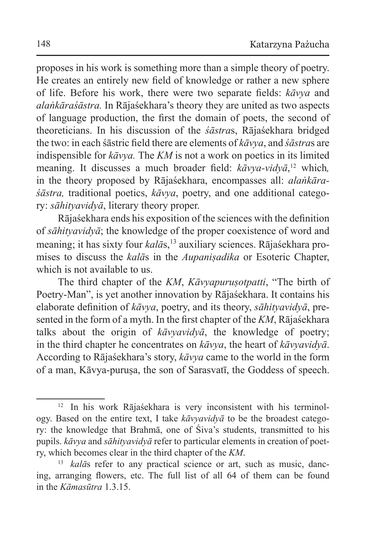proposes in his work is something more than a simple theory of poetry. He creates an entirely new field of knowledge or rather a new sphere of life. Before his work, there were two separate fields: *kāvya* and *alaṅkāraśāstra.* In Rājaśekhara's theory they are united as two aspects of language production, the first the domain of poets, the second of theoreticians. In his discussion of the *śāstra*s, Rājaśekhara bridged the two: in each śāstric field there are elements of *kāvya*, and *śāstra*s are indispensible for *kāvya.* The *KM* is not a work on poetics in its limited meaning. It discusses a much broader field: *kāvya-vidyā*, <sup>12</sup> which*,*  in the theory proposed by Rājaśekhara, encompasses all: *alaṅkāraśāstra,* traditional poetics, *kāvya*, poetry, and one additional category: *sāhityavidyā*, literary theory proper.

Rājaśekhara ends his exposition of the sciences with the definition of *sāhityavidyā*; the knowledge of the proper coexistence of word and meaning; it has sixty four *kalās*,<sup>13</sup> auxiliary sciences. Rājaśekhara promises to discuss the *kalā*s in the *Aupaniṣadika* or Esoteric Chapter, which is not available to us.

The third chapter of the *KM*, *Kāvyapuruṣotpatti*, "The birth of Poetry-Man", is yet another innovation by Rājaśekhara. It contains his elaborate definition of *kāvya*, poetry, and its theory, *sāhityavidyā*, presented in the form of a myth. In the first chapter of the *KM*, Rājaśekhara talks about the origin of *kāvyavidyā*, the knowledge of poetry; in the third chapter he concentrates on *kāvya*, the heart of *kāvyavidyā*. According to Rājaśekhara's story, *kāvya* came to the world in the form of a man, Kāvya-puruṣa, the son of Sarasvatī, the Goddess of speech.

<sup>12</sup> In his work Rājaśekhara is very inconsistent with his terminology. Based on the entire text, I take *kāvyavidyā* to be the broadest category: the knowledge that Brahmā, one of Śiva's students, transmitted to his pupils. *kāvya* and *sāhityavidyā* refer to particular elements in creation of poetry, which becomes clear in the third chapter of the *KM*.

<sup>13</sup> *kalā*s refer to any practical science or art, such as music, dancing, arranging flowers, etc. The full list of all 64 of them can be found in the *Kāmasūtra* 1.3.15.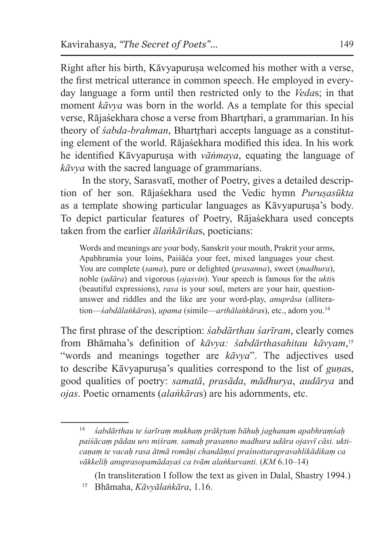Right after his birth, Kāvyapurusa welcomed his mother with a verse, the first metrical utterance in common speech. He employed in everyday language a form until then restricted only to the *Veda*s; in that moment *kāvya* was born in the world. As a template for this special verse, Rājaśekhara chose a verse from Bhartrhari, a grammarian. In his theory of *śabda-brahman*, Bhartrhari accepts language as a constituting element of the world. Rājaśekhara modified this idea. In his work he identified Kāvyapurusa with *vāṅmaya*, equating the language of *kāvya* with the sacred language of grammarians.

In the story, Sarasvatī, mother of Poetry, gives a detailed description of her son. Rājaśekhara used the Vedic hymn *Puruṣasūkta* as a template showing particular languages as Kāvyapurusa's body. To depict particular features of Poetry, Rājaśekhara used concepts taken from the earlier *ālaṅkārika*s, poeticians:

Words and meanings are your body, Sanskrit your mouth, Prakrit your arms, Apabhramśa your loins, Paiśāća your feet, mixed languages your chest. You are complete (*sama*), pure or delighted (*prasanna*), sweet (*madhura*), noble (*udāra*) and vigorous (*ojasvin*). Your speech is famous for the *ukti*s (beautiful expressions), *rasa* is your soul, meters are your hair, questionanswer and riddles and the like are your word-play, *anuprāsa* (alliteration—*śabdālaṅkāra*s), *upama* (simile—*arthālaṅkāra*s), etc., adorn you.<sup>14</sup>

The first phrase of the description: *śabdārthau śarīram*, clearly comes from Bhāmaha's definition of *kāvya: śabdārthasahitau kāvyam*, 15 "words and meanings together are *kāvya*". The adjectives used to describe Kāvyapuruṣa's qualities correspond to the list of *guṇa*s, good qualities of poetry: *samatā*, *prasāda*, *mādhurya*, *audārya* and *ojas*. Poetic ornaments (*alaṅkāra*s) are his adornments, etc.

<sup>14</sup> *śabdārthau te śarīraṃ mukhaṃ prākr̥taṃ bāhuḥ jaghanam apabhraṃśaḥ paiśācaṃ pādau uro miśram. samaḥ prasanno madhura udāra ojasvī cāsi. ukticaṇaṃ te vacaḥ rasa ātmā romāṇi chandāṃsi praśnottarapravahlikādikaṃ ca vākkeliḥ anuprasopamādayaś ca tvām alaṅkurvanti.* (*KM* 6.10–14)

<sup>(</sup>In transliteration I follow the text as given in Dalal, Shastry 1994.) <sup>15</sup> Bhāmaha, *Kāvyālaṅkāra*, 1.16.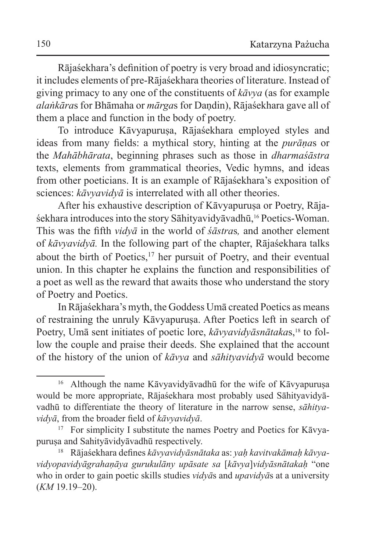Rājaśekhara's definition of poetry is very broad and idiosyncratic; it includes elements of pre-Rājaśekhara theories of literature. Instead of giving primacy to any one of the constituents of *kāvya* (as for example *alaṅkāra*s for Bhāmaha or *mārga*s for Daṇdin), Rājaśekhara gave all of them a place and function in the body of poetry.

To introduce Kāvyapurusa, Rājaśekhara employed styles and ideas from many fields: a mythical story, hinting at the *purāṇa*s or the *Mahābhārata*, beginning phrases such as those in *dharmaśāstra*  texts, elements from grammatical theories, Vedic hymns, and ideas from other poeticians. It is an example of Rājaśekhara's exposition of sciences: *kāvyavidyā* is interrelated with all other theories.

After his exhaustive description of Kāvyapuruṣa or Poetry, Rājaśekhara introduces into the story Sāhityavidyāvadhū,<sup>16</sup> Poetics-Woman. This was the fifth *vidyā* in the world of *śāstra*s*,* and another element of *kāvyavidyā.* In the following part of the chapter, Rājaśekhara talks about the birth of Poetics, $17$  her pursuit of Poetry, and their eventual union. In this chapter he explains the function and responsibilities of a poet as well as the reward that awaits those who understand the story of Poetry and Poetics.

In Rājaśekhara's myth, the Goddess Umā created Poetics as means of restraining the unruly Kāvyapuruṣa. After Poetics left in search of Poetry, Umā sent initiates of poetic lore, *kāvyavidyāsnātaka*s,<sup>18</sup> to follow the couple and praise their deeds. She explained that the account of the history of the union of *kāvya* and *sāhityavidyā* would become

<sup>&</sup>lt;sup>16</sup> Although the name Kāvyavidyāvadhū for the wife of Kāvyapurusa would be more appropriate, Rājaśekhara most probably used Sāhityavidyāvadhū to differentiate the theory of literature in the narrow sense, *sāhityavidyā*, from the broader field of *kāvyavidyā*.

<sup>&</sup>lt;sup>17</sup> For simplicity I substitute the names Poetry and Poetics for Kāvyapuruṣa and Sahityāvidyāvadhū respectively.

<sup>18</sup> Rājaśekhara defines *kāvyavidyāsnātaka* as: *yaḥ kavitvakāmaḥ kāvyavidyopavidyāgrahaṇāya gurukulāny upāsate sa* [*kāvya*]*vidyāsnātakaḥ* "one who in order to gain poetic skills studies *vidyā*s and *upavidyā*s at a university (*KM* 19.19–20).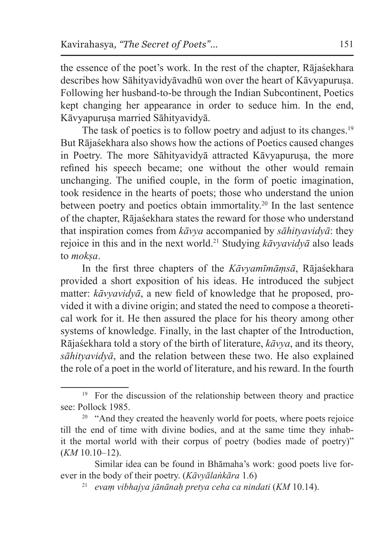the essence of the poet's work. In the rest of the chapter, Rājaśekhara describes how Sāhityavidyāvadhū won over the heart of Kāvyapurusa. Following her husband-to-be through the Indian Subcontinent, Poetics kept changing her appearance in order to seduce him. In the end, Kāvyapuruṣa married Sāhityavidyā.

The task of poetics is to follow poetry and adjust to its changes.<sup>19</sup> But Rājaśekhara also shows how the actions of Poetics caused changes in Poetry. The more Sāhityavidyā attracted Kāvyapurusa, the more refined his speech became; one without the other would remain unchanging. The unified couple, in the form of poetic imagination, took residence in the hearts of poets; those who understand the union between poetry and poetics obtain immortality.20 In the last sentence of the chapter, Rājaśekhara states the reward for those who understand that inspiration comes from *kāvya* accompanied by *sāhityavidyā*: they rejoice in this and in the next world.<sup>21</sup> Studying *kāvyavidyā* also leads to *mokṣa*.

In the first three chapters of the *Kāvyamīmāṃsā*, Rājaśekhara provided a short exposition of his ideas. He introduced the subject matter: *kāvyavidyā*, a new field of knowledge that he proposed, provided it with a divine origin; and stated the need to compose a theoretical work for it. He then assured the place for his theory among other systems of knowledge. Finally, in the last chapter of the Introduction, Rājaśekhara told a story of the birth of literature, *kāvya*, and its theory, *sāhityavidyā*, and the relation between these two. He also explained the role of a poet in the world of literature, and his reward. In the fourth

<sup>&</sup>lt;sup>19</sup> For the discussion of the relationship between theory and practice see: Pollock 1985.

<sup>&</sup>lt;sup>20</sup> "And they created the heavenly world for poets, where poets rejoice till the end of time with divine bodies, and at the same time they inhabit the mortal world with their corpus of poetry (bodies made of poetry)" (*KM* 10.10–12).

Similar idea can be found in Bhāmaha's work: good poets live forever in the body of their poetry. (*Kāvyālaṅkāra* 1.6)

<sup>21</sup> *evaṃ vibhajya jānānaḥ pretya ceha ca nindati* (*KM* 10.14).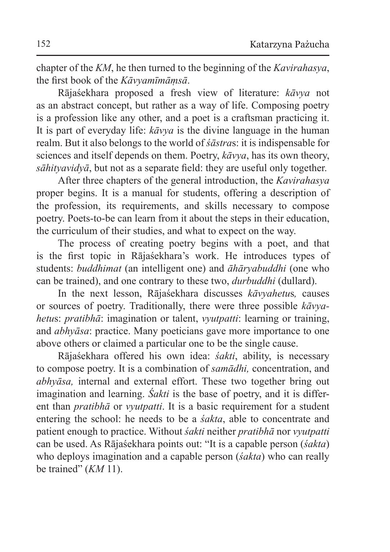chapter of the *KM*, he then turned to the beginning of the *Kavirahasya*, the first book of the *Kāvyamīmāṃsā*.

Rājaśekhara proposed a fresh view of literature: *kāvya* not as an abstract concept, but rather as a way of life. Composing poetry is a profession like any other, and a poet is a craftsman practicing it. It is part of everyday life: *kāvya* is the divine language in the human realm. But it also belongs to the world of *śāstra*s: it is indispensable for sciences and itself depends on them. Poetry, *kāvya*, has its own theory, *sāhityavidyā*, but not as a separate field: they are useful only together.

After three chapters of the general introduction, the *Kavirahasya*  proper begins. It is a manual for students, offering a description of the profession, its requirements, and skills necessary to compose poetry. Poets-to-be can learn from it about the steps in their education, the curriculum of their studies, and what to expect on the way.

The process of creating poetry begins with a poet, and that is the first topic in Rājaśekhara's work. He introduces types of students: *buddhimat* (an intelligent one) and *āhāryabuddhi* (one who can be trained), and one contrary to these two, *durbuddhi* (dullard).

In the next lesson, Rājaśekhara discusses *kāvyahetu*s*,* causes or sources of poetry. Traditionally, there were three possible *kāvyahetu*s: *pratibhā*: imagination or talent, *vyutpatti*: learning or training, and *abhyāsa*: practice. Many poeticians gave more importance to one above others or claimed a particular one to be the single cause.

Rājaśekhara offered his own idea: *śakti*, ability, is necessary to compose poetry. It is a combination of *samādhi,* concentration, and *abhyāsa,* internal and external effort. These two together bring out imagination and learning. *Śakti* is the base of poetry, and it is different than *pratibhā* or *vyutpatti*. It is a basic requirement for a student entering the school: he needs to be a *śakta*, able to concentrate and patient enough to practice. Without *śakti* neither *pratibhā* nor *vyutpatti*  can be used. As Rājaśekhara points out: "It is a capable person (*śakta*) who deploys imagination and a capable person (*śakta*) who can really be trained" (*KM* 11).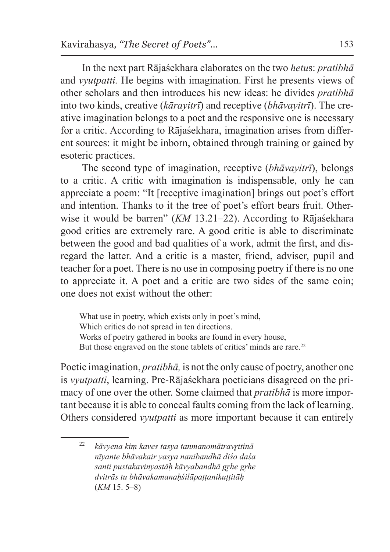In the next part Rājaśekhara elaborates on the two *hetu*s: *pratibhā* and *vyutpatti.* He begins with imagination. First he presents views of other scholars and then introduces his new ideas: he divides *pratibhā* into two kinds, creative (*kārayitrī*) and receptive (*bhāvayitrī*). The creative imagination belongs to a poet and the responsive one is necessary for a critic. According to Rājaśekhara, imagination arises from different sources: it might be inborn, obtained through training or gained by esoteric practices.

The second type of imagination, receptive (*bhāvayitrī*), belongs to a critic. A critic with imagination is indispensable, only he can appreciate a poem: "It [receptive imagination] brings out poet's effort and intention. Thanks to it the tree of poet's effort bears fruit. Otherwise it would be barren" (*KM* 13.21–22). According to Rājaśekhara good critics are extremely rare. A good critic is able to discriminate between the good and bad qualities of a work, admit the first, and disregard the latter. And a critic is a master, friend, adviser, pupil and teacher for a poet. There is no use in composing poetry if there is no one to appreciate it. A poet and a critic are two sides of the same coin; one does not exist without the other:

What use in poetry, which exists only in poet's mind, Which critics do not spread in ten directions. Works of poetry gathered in books are found in every house, But those engraved on the stone tablets of critics' minds are rare.<sup>22</sup>

Poetic imagination, *pratibhā,* is not the only cause of poetry, another one is *vyutpatti*, learning. Pre-Rājaśekhara poeticians disagreed on the primacy of one over the other. Some claimed that *pratibhā* is more important because it is able to conceal faults coming from the lack of learning. Others considered *vyutpatti* as more important because it can entirely

<sup>22</sup> *kāvyena kiṃ kaves tasya tanmanomātravr̥ttinā nīyante bhāvakair yasya nanibandhā diśo daśa santi pustakavinyastāḥ kāvyabandhā gr̥he gr̥he dvitrās tu bhāvakamanaḥśilāpaṭṭanikuṭṭitāḥ* (*KM* 15. 5–8)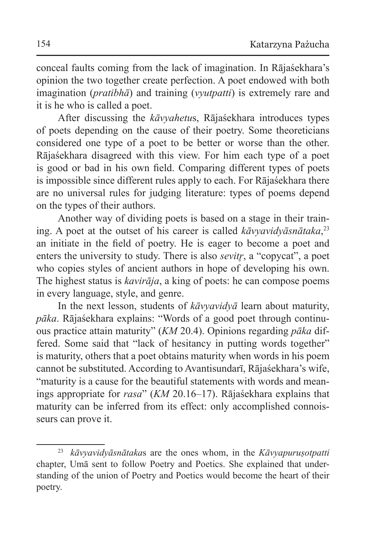conceal faults coming from the lack of imagination. In Rājaśekhara's opinion the two together create perfection. A poet endowed with both imagination (*pratibhā*) and training (*vyutpatti*) is extremely rare and it is he who is called a poet.

After discussing the *kāvyahetu*s, Rājaśekhara introduces types of poets depending on the cause of their poetry. Some theoreticians considered one type of a poet to be better or worse than the other. Rājaśekhara disagreed with this view. For him each type of a poet is good or bad in his own field. Comparing different types of poets is impossible since different rules apply to each. For Rājaśekhara there are no universal rules for judging literature: types of poems depend on the types of their authors.

Another way of dividing poets is based on a stage in their training. A poet at the outset of his career is called *kāvyavidyāsnātaka*,<sup>23</sup> an initiate in the field of poetry. He is eager to become a poet and enters the university to study. There is also *sevitr*, a "copycat", a poet who copies styles of ancient authors in hope of developing his own. The highest status is *kavirāja*, a king of poets: he can compose poems in every language, style, and genre.

In the next lesson, students of *kāvyavidyā* learn about maturity, *pāka*. Rājaśekhara explains: "Words of a good poet through continuous practice attain maturity" (*KM* 20.4). Opinions regarding *pāka* differed. Some said that "lack of hesitancy in putting words together" is maturity, others that a poet obtains maturity when words in his poem cannot be substituted. According to Avantisundarī, Rājaśekhara's wife, "maturity is a cause for the beautiful statements with words and meanings appropriate for *rasa*" (*KM* 20.16–17). Rājaśekhara explains that maturity can be inferred from its effect: only accomplished connoisseurs can prove it.

<sup>23</sup> *kāvyavidyāsnātaka*s are the ones whom, in the *Kāvyapuruṣotpatti*  chapter, Umā sent to follow Poetry and Poetics. She explained that understanding of the union of Poetry and Poetics would become the heart of their poetry.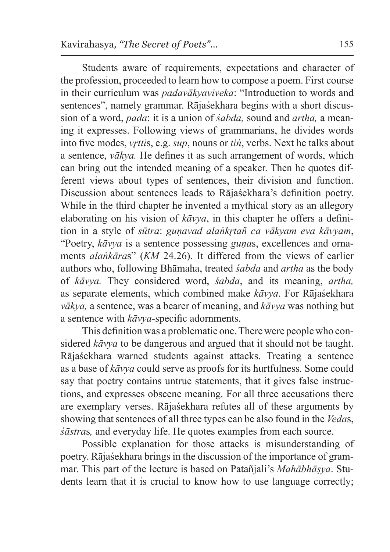Students aware of requirements, expectations and character of the profession, proceeded to learn how to compose a poem. First course in their curriculum was *padavākyaviveka*: "Introduction to words and sentences", namely grammar. Rājaśekhara begins with a short discussion of a word, *pada*: it is a union of *śabda,* sound and *artha,* a meaning it expresses. Following views of grammarians, he divides words into five modes, *vr̥tti*s, e.g. *sup*, nouns or *tiṅ*, verbs. Next he talks about a sentence, *vākya.* He defines it as such arrangement of words, which can bring out the intended meaning of a speaker. Then he quotes different views about types of sentences, their division and function. Discussion about sentences leads to Rājaśekhara's definition poetry. While in the third chapter he invented a mythical story as an allegory elaborating on his vision of *kāvya*, in this chapter he offers a definition in a style of *sūtra*: *guṇavad alaṅkr̥tañ ca vākyam eva kāvyam*, "Poetry, *kāvya* is a sentence possessing *guṇa*s, excellences and ornaments *alaṅkāra*s" (*KM* 24.26). It differed from the views of earlier authors who, following Bhāmaha, treated *śabda* and *artha* as the body of *kāvya.* They considered word, *śabda*, and its meaning, *artha,* as separate elements, which combined make *kāvya*. For Rājaśekhara *vākya,* a sentence, was a bearer of meaning, and *kāvya* was nothing but a sentence with *kāvya-*specific adornments.

This definition was a problematic one. There were people who considered *kāvya* to be dangerous and argued that it should not be taught. Rājaśekhara warned students against attacks. Treating a sentence as a base of *kāvya* could serve as proofs for its hurtfulness*.* Some could say that poetry contains untrue statements, that it gives false instructions, and expresses obscene meaning. For all three accusations there are exemplary verses. Rājaśekhara refutes all of these arguments by showing that sentences of all three types can be also found in the *Veda*s, *śāstra*s*,* and everyday life. He quotes examples from each source.

Possible explanation for those attacks is misunderstanding of poetry. Rājaśekhara brings in the discussion of the importance of grammar. This part of the lecture is based on Patañjali's *Mahābhāṣya*. Students learn that it is crucial to know how to use language correctly;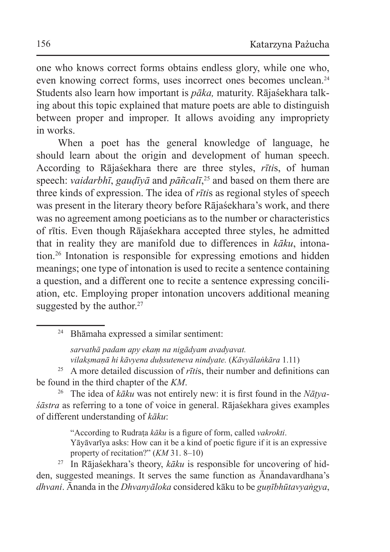one who knows correct forms obtains endless glory, while one who, even knowing correct forms, uses incorrect ones becomes unclean.<sup>24</sup> Students also learn how important is *pāka,* maturity. Rājaśekhara talking about this topic explained that mature poets are able to distinguish between proper and improper. It allows avoiding any impropriety in works.

When a poet has the general knowledge of language, he should learn about the origin and development of human speech. According to Rājaśekhara there are three styles, *rīti*s, of human speech: *vaidarbhī*, *gauḍīyā* and *pāñcalī*, 25 and based on them there are three kinds of expression. The idea of *rīti*s as regional styles of speech was present in the literary theory before Rājaśekhara's work, and there was no agreement among poeticians as to the number or characteristics of rītis. Even though Rājaśekhara accepted three styles, he admitted that in reality they are manifold due to differences in *kāku*, intonation.<sup>26</sup> Intonation is responsible for expressing emotions and hidden meanings; one type of intonation is used to recite a sentence containing a question, and a different one to recite a sentence expressing conciliation, etc. Employing proper intonation uncovers additional meaning suggested by the author. $27$ 

<sup>24</sup> Bhāmaha expressed a similar sentiment:

*sarvathā padam apy ekaṃ na nigādyam avadyavat. vilakṣmaṇā hi kāvyena duḥsuteneva nindyate.* (*Kāvyālaṅkāra* 1.11)

<sup>25</sup> A more detailed discussion of *rīti*s, their number and definitions can be found in the third chapter of the *KM*.

<sup>26</sup> The idea of *kāku* was not entirely new: it is first found in the *Nāṭyaśāstra* as referring to a tone of voice in general. Rājaśekhara gives examples of different understanding of *kāku*:

"According to Rudraṭa *kāku* is a figure of form, called *vakrokti*.

Yāyāvarīya asks: How can it be a kind of poetic figure if it is an expressive property of recitation?" (*KM* 31. 8–10)

<sup>27</sup> In Rājaśekhara's theory, *kāku* is responsible for uncovering of hidden, suggested meanings. It serves the same function as Ānandavardhana's *dhvani*. Ānanda in the *Dhvanyāloka* considered kāku to be *guṇībhūtavyaṅgya*,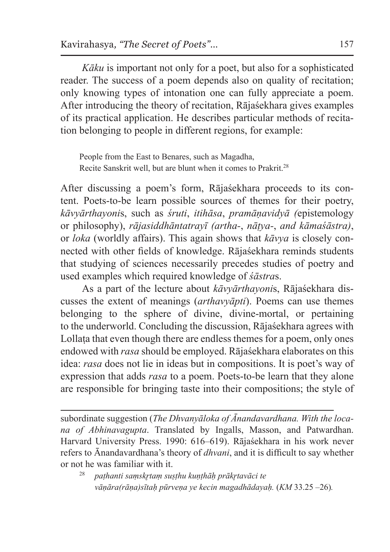*Kāku* is important not only for a poet, but also for a sophisticated reader. The success of a poem depends also on quality of recitation; only knowing types of intonation one can fully appreciate a poem. After introducing the theory of recitation, Rājaśekhara gives examples of its practical application. He describes particular methods of recitation belonging to people in different regions, for example:

People from the East to Benares, such as Magadha, Recite Sanskrit well, but are blunt when it comes to Prakrit.<sup>28</sup>

After discussing a poem's form, Rājaśekhara proceeds to its content. Poets-to-be learn possible sources of themes for their poetry, *kāvyārthayoni*s, such as *śruti*, *itihāsa*, *pramāṇavidyā (*epistemology or philosophy), *rājasiddhāntatrayī (artha-*, *nāṭya-*, *and kāmaśāstra)*, or *loka* (worldly affairs). This again shows that *kāvya* is closely connected with other fields of knowledge. Rājaśekhara reminds students that studying of sciences necessarily precedes studies of poetry and used examples which required knowledge of *śāstra*s.

As a part of the lecture about *kāvyārthayoni*s, Rājaśekhara discusses the extent of meanings (*arthavyāpti*). Poems can use themes belonging to the sphere of divine, divine-mortal, or pertaining to the underworld. Concluding the discussion, Rājaśekhara agrees with Lollata that even though there are endless themes for a poem, only ones endowed with *rasa* should be employed. Rājaśekhara elaborates on this idea: *rasa* does not lie in ideas but in compositions. It is poet's way of expression that adds *rasa* to a poem. Poets-to-be learn that they alone are responsible for bringing taste into their compositions; the style of

subordinate suggestion (*The Dhvanyāloka of Ānandavardhana. With the locana of Abhinavagupta*. Translated by Ingalls, Masson, and Patwardhan. Harvard University Press. 1990: 616–619). Rājaśekhara in his work never refers to Ānandavardhana's theory of *dhvani*, and it is difficult to say whether or not he was familiar with it.

<sup>28</sup> *paṭhanti saṃskr̥taṃ suṣṭhu kuṇṭhāḥ prākr̥tavāci te vāṇāra(rāṇa)sītaḥ pūrveṇa ye kecin magadhādayaḥ.* (*KM* 33.25 –26)*.*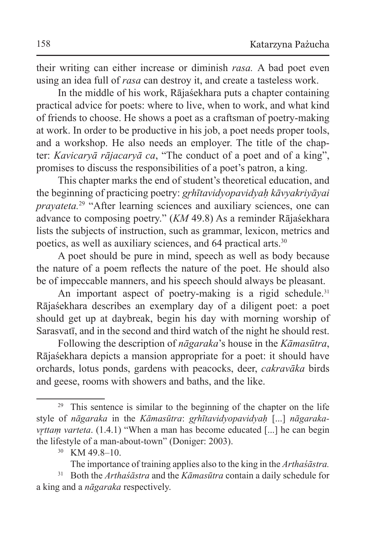their writing can either increase or diminish *rasa.* A bad poet even using an idea full of *rasa* can destroy it, and create a tasteless work.

In the middle of his work, Rājaśekhara puts a chapter containing practical advice for poets: where to live, when to work, and what kind of friends to choose. He shows a poet as a craftsman of poetry-making at work. In order to be productive in his job, a poet needs proper tools, and a workshop. He also needs an employer. The title of the chapter: *Kavicaryā rājacaryā ca*, "The conduct of a poet and of a king", promises to discuss the responsibilities of a poet's patron, a king.

This chapter marks the end of student's theoretical education, and the beginning of practicing poetry: *gr̥hītavidyopavidyaḥ kāvyakriyāyai prayateta.*<sup>29</sup> "After learning sciences and auxiliary sciences, one can advance to composing poetry." (*KM* 49.8) As a reminder Rājaśekhara lists the subjects of instruction, such as grammar, lexicon, metrics and poetics, as well as auxiliary sciences, and 64 practical arts.<sup>30</sup>

A poet should be pure in mind, speech as well as body because the nature of a poem reflects the nature of the poet. He should also be of impeccable manners, and his speech should always be pleasant.

An important aspect of poetry-making is a rigid schedule.<sup>31</sup> Rājaśekhara describes an exemplary day of a diligent poet: a poet should get up at daybreak, begin his day with morning worship of Sarasvatī, and in the second and third watch of the night he should rest.

Following the description of *nāgaraka*'s house in the *Kāmasūtra*, Rājaśekhara depicts a mansion appropriate for a poet: it should have orchards, lotus ponds, gardens with peacocks, deer, *cakravāka* birds and geese, rooms with showers and baths, and the like.

<sup>&</sup>lt;sup>29</sup> This sentence is similar to the beginning of the chapter on the life style of *nāgaraka* in the *Kāmasūtra*: *gr̥hītavidyopavidyaḥ* [...] *nāgarakavrttam varteta*. (1.4.1) "When a man has become educated [...] he can begin the lifestyle of a man-about-town" (Doniger: 2003).

<sup>30</sup> KM 49.8–10.

The importance of training applies also to the king in the *Arthaśāstra.*

<sup>31</sup> Both the *Arthaśāstra* and the *Kāmasūtra* contain a daily schedule for a king and a *nāgaraka* respectively.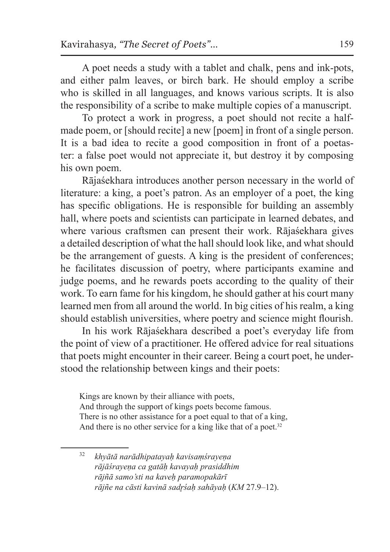A poet needs a study with a tablet and chalk, pens and ink-pots, and either palm leaves, or birch bark. He should employ a scribe who is skilled in all languages, and knows various scripts. It is also the responsibility of a scribe to make multiple copies of a manuscript.

To protect a work in progress, a poet should not recite a halfmade poem, or [should recite] a new [poem] in front of a single person. It is a bad idea to recite a good composition in front of a poetaster: a false poet would not appreciate it, but destroy it by composing his own poem.

Rājaśekhara introduces another person necessary in the world of literature: a king, a poet's patron. As an employer of a poet, the king has specific obligations. He is responsible for building an assembly hall, where poets and scientists can participate in learned debates, and where various craftsmen can present their work. Rājaśekhara gives a detailed description of what the hall should look like, and what should be the arrangement of guests. A king is the president of conferences; he facilitates discussion of poetry, where participants examine and judge poems, and he rewards poets according to the quality of their work. To earn fame for his kingdom, he should gather at his court many learned men from all around the world. In big cities of his realm, a king should establish universities, where poetry and science might flourish.

In his work Rājaśekhara described a poet's everyday life from the point of view of a practitioner. He offered advice for real situations that poets might encounter in their career. Being a court poet, he understood the relationship between kings and their poets:

Kings are known by their alliance with poets, And through the support of kings poets become famous. There is no other assistance for a poet equal to that of a king, And there is no other service for a king like that of a poet. $32$ 

<sup>32</sup> *khyātā narādhipatayaḥ kavisaṃśrayeṇa rājāśrayeṇa ca gatāḥ kavayaḥ prasiddhim rājñā samo'sti na kaveḥ paramopakārī rājñe na cāsti kavinā sadr̥śaḥ sahāyaḥ* (*KM* 27.9–12).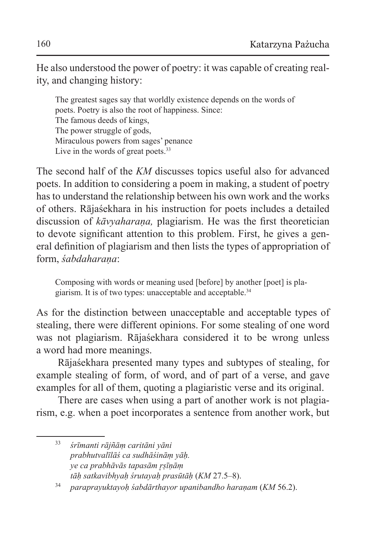He also understood the power of poetry: it was capable of creating reality, and changing history:

The greatest sages say that worldly existence depends on the words of poets. Poetry is also the root of happiness. Since: The famous deeds of kings, The power struggle of gods, Miraculous powers from sages' penance Live in the words of great poets.<sup>33</sup>

The second half of the *KM* discusses topics useful also for advanced poets. In addition to considering a poem in making, a student of poetry has to understand the relationship between his own work and the works of others. Rājaśekhara in his instruction for poets includes a detailed discussion of *kāvyaharaṇa,* plagiarism. He was the first theoretician to devote significant attention to this problem. First, he gives a general definition of plagiarism and then lists the types of appropriation of form, *śabdaharaṇa*:

Composing with words or meaning used [before] by another [poet] is plagiarism. It is of two types: unacceptable and acceptable.<sup>34</sup>

As for the distinction between unacceptable and acceptable types of stealing, there were different opinions. For some stealing of one word was not plagiarism. Rājaśekhara considered it to be wrong unless a word had more meanings.

Rājaśekhara presented many types and subtypes of stealing, for example stealing of form, of word, and of part of a verse, and gave examples for all of them, quoting a plagiaristic verse and its original.

There are cases when using a part of another work is not plagiarism, e.g. when a poet incorporates a sentence from another work, but

<sup>33</sup> *śrīmanti rājñāṃ caritāni yāni prabhutvalīlāś ca sudhāśināṃ yāḥ. ye ca prabhāvās tapasām r̥ṣīṇāṃ tāḥ satkavibhyaḥ śrutayaḥ prasūtāḥ* (*KM* 27.5–8).

<sup>34</sup> *paraprayuktayoḥ śabdārthayor upanibandho haraṇam* (*KM* 56.2).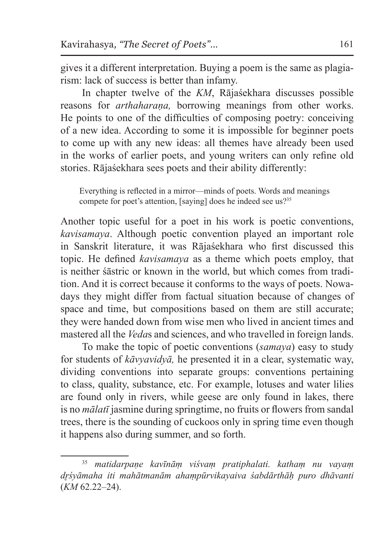gives it a different interpretation. Buying a poem is the same as plagiarism: lack of success is better than infamy.

In chapter twelve of the *KM*, Rājaśekhara discusses possible reasons for *arthaharaṇa,* borrowing meanings from other works. He points to one of the difficulties of composing poetry: conceiving of a new idea. According to some it is impossible for beginner poets to come up with any new ideas: all themes have already been used in the works of earlier poets, and young writers can only refine old stories. Rājaśekhara sees poets and their ability differently:

Everything is reflected in a mirror—minds of poets. Words and meanings compete for poet's attention, [saying] does he indeed see us?<sup>35</sup>

Another topic useful for a poet in his work is poetic conventions, *kavisamaya*. Although poetic convention played an important role in Sanskrit literature, it was Rājaśekhara who first discussed this topic. He defined *kavisamaya* as a theme which poets employ, that is neither śāstric or known in the world, but which comes from tradition. And it is correct because it conforms to the ways of poets. Nowadays they might differ from factual situation because of changes of space and time, but compositions based on them are still accurate; they were handed down from wise men who lived in ancient times and mastered all the *Veda*s and sciences, and who travelled in foreign lands.

To make the topic of poetic conventions (*samaya*) easy to study for students of *kāvyavidyā,* he presented it in a clear, systematic way, dividing conventions into separate groups: conventions pertaining to class, quality, substance, etc. For example, lotuses and water lilies are found only in rivers, while geese are only found in lakes, there is no *mālatī* jasmine during springtime, no fruits or flowers from sandal trees, there is the sounding of cuckoos only in spring time even though it happens also during summer, and so forth.

<sup>35</sup> *matidarpaṇe kavīnāṃ viśvaṃ pratiphalati. kathaṃ nu vayaṃ dr̥śyāmaha iti mahātmanām ahaṃpūrvikayaiva śabdārthāḥ puro dhāvanti*  (*KM* 62.22–24).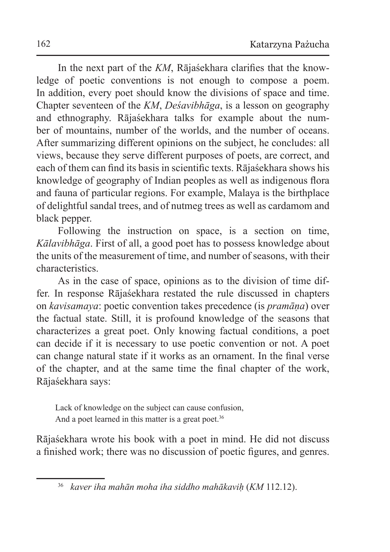In the next part of the *KM*, Rājaśekhara clarifies that the knowledge of poetic conventions is not enough to compose a poem. In addition, every poet should know the divisions of space and time. Chapter seventeen of the *KM*, *Deśavibhāga*, is a lesson on geography and ethnography. Rājaśekhara talks for example about the number of mountains, number of the worlds, and the number of oceans. After summarizing different opinions on the subject, he concludes: all views, because they serve different purposes of poets, are correct, and each of them can find its basis in scientific texts. Rājaśekhara shows his knowledge of geography of Indian peoples as well as indigenous flora and fauna of particular regions. For example, Malaya is the birthplace of delightful sandal trees, and of nutmeg trees as well as cardamom and black pepper.

Following the instruction on space, is a section on time, *Kālavibhāga*. First of all, a good poet has to possess knowledge about the units of the measurement of time, and number of seasons, with their characteristics.

As in the case of space, opinions as to the division of time differ. In response Rājaśekhara restated the rule discussed in chapters on *kavisamaya*: poetic convention takes precedence (is *pramāṇa*) over the factual state. Still, it is profound knowledge of the seasons that characterizes a great poet. Only knowing factual conditions, a poet can decide if it is necessary to use poetic convention or not. A poet can change natural state if it works as an ornament. In the final verse of the chapter, and at the same time the final chapter of the work, Rājaśekhara says:

Lack of knowledge on the subject can cause confusion, And a poet learned in this matter is a great poet.<sup>36</sup>

Rājaśekhara wrote his book with a poet in mind. He did not discuss a finished work; there was no discussion of poetic figures, and genres.

<sup>36</sup> *kaver iha mahān moha iha siddho mahākaviḥ* (*KM* 112.12).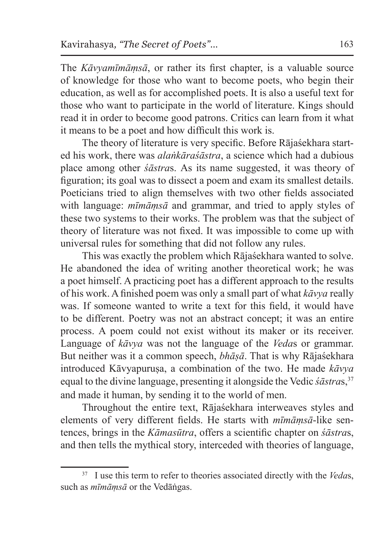The *Kāvyamīmāṃsā*, or rather its first chapter, is a valuable source of knowledge for those who want to become poets, who begin their education, as well as for accomplished poets. It is also a useful text for those who want to participate in the world of literature. Kings should read it in order to become good patrons. Critics can learn from it what it means to be a poet and how difficult this work is.

The theory of literature is very specific. Before Rājaśekhara started his work, there was *alaṅkāraśāstra*, a science which had a dubious place among other *śāstra*s. As its name suggested, it was theory of figuration; its goal was to dissect a poem and exam its smallest details. Poeticians tried to align themselves with two other fields associated with language: *mīmāṃsā* and grammar, and tried to apply styles of these two systems to their works. The problem was that the subject of theory of literature was not fixed. It was impossible to come up with universal rules for something that did not follow any rules.

This was exactly the problem which Rājaśekhara wanted to solve. He abandoned the idea of writing another theoretical work; he was a poet himself. A practicing poet has a different approach to the results of his work. A finished poem was only a small part of what *kāvya* really was. If someone wanted to write a text for this field, it would have to be different. Poetry was not an abstract concept; it was an entire process. A poem could not exist without its maker or its receiver. Language of *kāvya* was not the language of the *Veda*s or grammar. But neither was it a common speech, *bhāṣā*. That is why Rājaśekhara introduced Kāvyapuruṣa, a combination of the two. He made *kāvya*  equal to the divine language, presenting it alongside the Vedic *śāstras*,<sup>37</sup> and made it human, by sending it to the world of men.

Throughout the entire text, Rājaśekhara interweaves styles and elements of very different fields. He starts with *mīmāṃsā*-like sentences, brings in the *Kāmasūtra*, offers a scientific chapter on *śāstra*s, and then tells the mythical story, interceded with theories of language,

<sup>37</sup> I use this term to refer to theories associated directly with the *Veda*s, such as *mīmāṃsā* or the Vedāṅgas.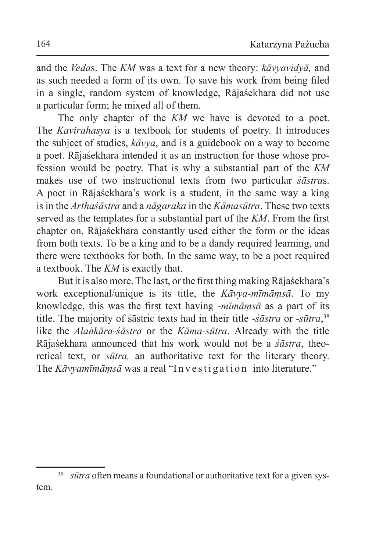and the *Veda*s. The *KM* was a text for a new theory: *kāvyavidyā,* and as such needed a form of its own. To save his work from being filed in a single, random system of knowledge, Rājaśekhara did not use a particular form; he mixed all of them.

The only chapter of the *KM* we have is devoted to a poet. The *Kavirahasya* is a textbook for students of poetry. It introduces the subject of studies, *kāvya*, and is a guidebook on a way to become a poet. Rājaśekhara intended it as an instruction for those whose profession would be poetry. That is why a substantial part of the *KM* makes use of two instructional texts from two particular *śāstra*s. A poet in Rājaśekhara's work is a student, in the same way a king is in the *Arthaśāstra* and a *nāgaraka* in the *Kāmasūtra*. These two texts served as the templates for a substantial part of the *KM*. From the first chapter on, Rājaśekhara constantly used either the form or the ideas from both texts. To be a king and to be a dandy required learning, and there were textbooks for both. In the same way, to be a poet required a textbook. The *KM* is exactly that.

But it is also more. The last, or the first thing making Rājaśekhara's work exceptional/unique is its title, the *Kāvya-mīmāṃsā*. To my knowledge, this was the first text having -*mīmāṃsā* as a part of its title. The majority of śāstric texts had in their title -*śāstra* or -*sūtra*, 38 like the *Alaṅkāra-śāstra* or the *Kāma-sūtra*. Already with the title Rājaśekhara announced that his work would not be a *śāstra*, theoretical text, or *sūtra,* an authoritative text for the literary theory. The *Kāvyamīmāmsā* was a real "Investigation into literature."

<sup>&</sup>lt;sup>38</sup> *sūtra* often means a foundational or authoritative text for a given system.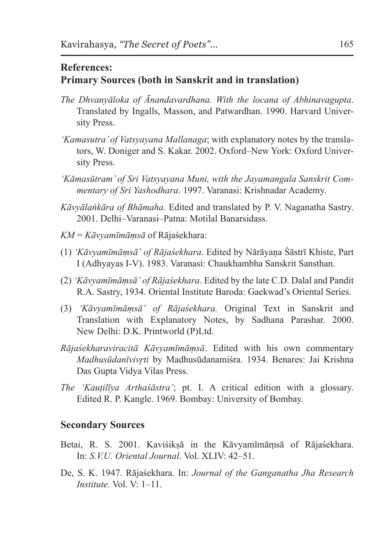## **References: Primary Sources (both in Sanskrit and in translation)**

- *The Dhvanyāloka of Ānandavardhana. With the locana of Abhinavagupta*. Translated by Ingalls, Masson, and Patwardhan. 1990. Harvard University Press.
- *'Kamasutra' of Vatsyayana Mallanaga*; with explanatory notes by the translators, W. Doniger and S. Kakar. 2002. Oxford–New York: Oxford University Press.
- *'Kāmasūtram' of Sri Vatsyayana Muni, with the Jayamangala Sanskrit Commentary of Sri Yashodhara*. 1997. Varanasi: Krishnadar Academy.
- *Kāvyālaṅkāra of Bhāmaha*. Edited and translated by P. V. Naganatha Sastry. 2001. Delhi–Varanasi–Patna: Motilal Banarsidass.
- *KM* = *Kāvyamīmāṃsā* of Rājaśekhara:
- (1) *'Kāvyamīmāṃsā' of Rājaśekhara*. Edited by Nārāyaṇa Śāstrī Khiste, Part I (Adhyayas I-V). 1983. Varanasi: Chaukhambha Sanskrit Sansthan.
- (2) *'Kāvyamīmāṃsā' of Rājaśekhara*. Edited by the late C.D. Dalal and Pandit R.A. Sastry, 1934. Oriental Institute Baroda: Gaekwad's Oriental Series.
- (3) *'Kāvyamīmāṃsā' of Rājaśekhara.* Original Text in Sanskrit and Translation with Explanatory Notes, by Sadhana Parashar. 2000. New Delhi: D.K. Printworld (P)Ltd.
- *Rājaśekharaviracitā Kāvyamīmāṃsā*. Edited with his own commentary *Madhusūdanīvivr̥ti* by Madhusūdanamiśra. 1934. Benares: Jai Krishna Das Gupta Vidya Vilas Press.
- *The 'Kauṭilīya Arthaśāstra'*; pt. I. A critical edition with a glossary. Edited R. P. Kangle. 1969. Bombay: University of Bombay.

## **Secondary Sources**

- Betai, R. S. 2001. Kaviśikṣā in the Kāvyamīmāṃsā of Rājaśekhara. In: *S.V.U. Oriental Journal*. Vol. XLIV: 42–51.
- De, S. K. 1947. Rājaśekhara. In: *Journal of the Ganganatha Jha Research Institute* Vol. V: 1–11.